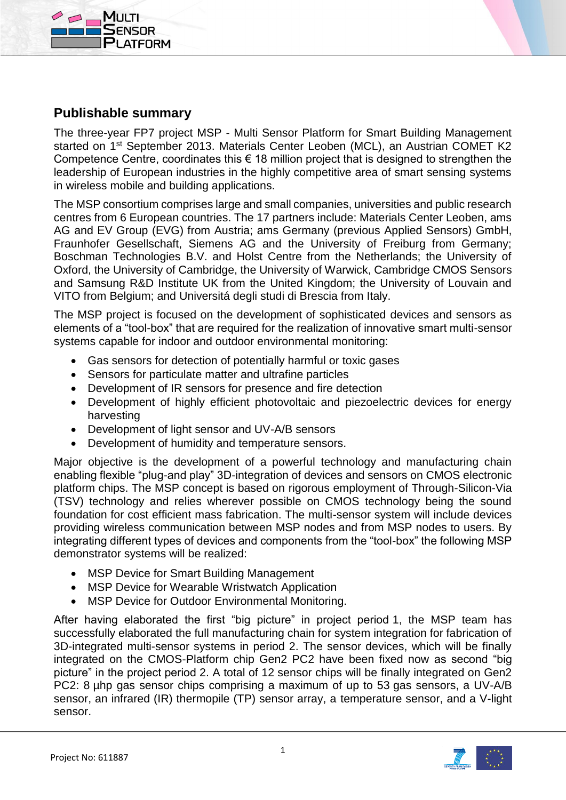



The three-year FP7 project MSP - Multi Sensor Platform for Smart Building Management started on 1<sup>st</sup> September 2013. Materials Center Leoben (MCL), an Austrian COMET K2 Competence Centre, coordinates this  $\epsilon$  18 million project that is designed to strengthen the leadership of European industries in the highly competitive area of smart sensing systems in wireless mobile and building applications.

The MSP consortium comprises large and small companies, universities and public research centres from 6 European countries. The 17 partners include: Materials Center Leoben, ams AG and EV Group (EVG) from Austria; ams Germany (previous Applied Sensors) GmbH, Fraunhofer Gesellschaft, Siemens AG and the University of Freiburg from Germany; Boschman Technologies B.V. and Holst Centre from the Netherlands; the University of Oxford, the University of Cambridge, the University of Warwick, Cambridge CMOS Sensors and Samsung R&D Institute UK from the United Kingdom; the University of Louvain and VITO from Belgium; and Universitá degli studi di Brescia from Italy.

The MSP project is focused on the development of sophisticated devices and sensors as elements of a "tool-box" that are required for the realization of innovative smart multi-sensor systems capable for indoor and outdoor environmental monitoring:

- Gas sensors for detection of potentially harmful or toxic gases
- Sensors for particulate matter and ultrafine particles
- Development of IR sensors for presence and fire detection
- Development of highly efficient photovoltaic and piezoelectric devices for energy harvesting
- Development of light sensor and UV-A/B sensors
- Development of humidity and temperature sensors.

Major objective is the development of a powerful technology and manufacturing chain enabling flexible "plug-and play" 3D-integration of devices and sensors on CMOS electronic platform chips. The MSP concept is based on rigorous employment of Through-Silicon-Via (TSV) technology and relies wherever possible on CMOS technology being the sound foundation for cost efficient mass fabrication. The multi-sensor system will include devices providing wireless communication between MSP nodes and from MSP nodes to users. By integrating different types of devices and components from the "tool-box" the following MSP demonstrator systems will be realized:

- MSP Device for Smart Building Management
- MSP Device for Wearable Wristwatch Application
- MSP Device for Outdoor Environmental Monitoring.

After having elaborated the first "big picture" in project period 1, the MSP team has successfully elaborated the full manufacturing chain for system integration for fabrication of 3D-integrated multi-sensor systems in period 2. The sensor devices, which will be finally integrated on the CMOS-Platform chip Gen2 PC2 have been fixed now as second "big picture" in the project period 2. A total of 12 sensor chips will be finally integrated on Gen2 PC2: 8 µhp gas sensor chips comprising a maximum of up to 53 gas sensors, a UV-A/B sensor, an infrared (IR) thermopile (TP) sensor array, a temperature sensor, and a V-light sensor.

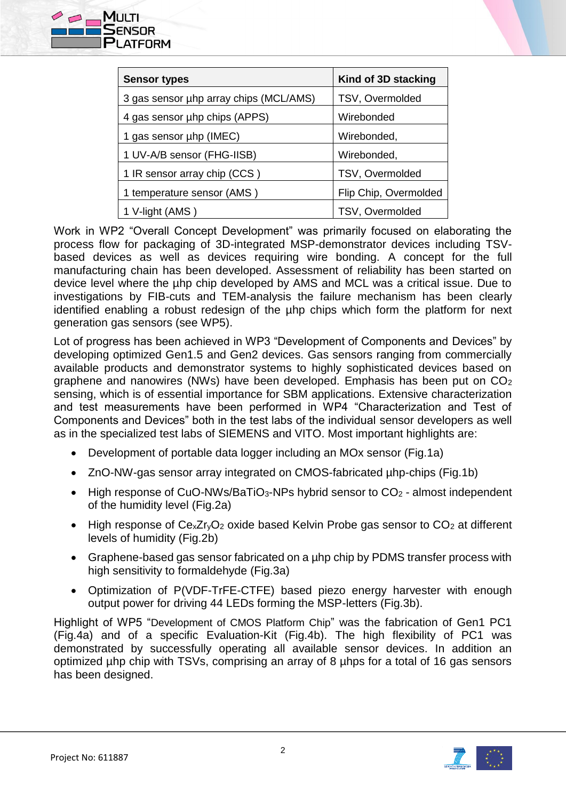

| <b>Sensor types</b>                    | Kind of 3D stacking   |
|----------------------------------------|-----------------------|
| 3 gas sensor uhp array chips (MCL/AMS) | TSV, Overmolded       |
| 4 gas sensor uhp chips (APPS)          | Wirebonded            |
| 1 gas sensor uhp (IMEC)                | Wirebonded,           |
| 1 UV-A/B sensor (FHG-IISB)             | Wirebonded,           |
| 1 IR sensor array chip (CCS)           | TSV, Overmolded       |
| 1 temperature sensor (AMS)             | Flip Chip, Overmolded |
| 1 V-light (AMS)                        | TSV, Overmolded       |

Work in WP2 "Overall Concept Development" was primarily focused on elaborating the process flow for packaging of 3D-integrated MSP-demonstrator devices including TSVbased devices as well as devices requiring wire bonding. A concept for the full manufacturing chain has been developed. Assessment of reliability has been started on device level where the µhp chip developed by AMS and MCL was a critical issue. Due to investigations by FIB-cuts and TEM-analysis the failure mechanism has been clearly identified enabling a robust redesign of the uhp chips which form the platform for next generation gas sensors (see WP5).

Lot of progress has been achieved in WP3 "Development of Components and Devices" by developing optimized Gen1.5 and Gen2 devices. Gas sensors ranging from commercially available products and demonstrator systems to highly sophisticated devices based on graphene and nanowires (NWs) have been developed. Emphasis has been put on  $CO<sub>2</sub>$ sensing, which is of essential importance for SBM applications. Extensive characterization and test measurements have been performed in WP4 "Characterization and Test of Components and Devices" both in the test labs of the individual sensor developers as well as in the specialized test labs of SIEMENS and VITO. Most important highlights are:

- Development of portable data logger including an MOx sensor (Fig.1a)
- ZnO-NW-gas sensor array integrated on CMOS-fabricated µhp-chips (Fig.1b)
- High response of CuO-NWs/BaTiO<sub>3</sub>-NPs hybrid sensor to CO<sub>2</sub> almost independent of the humidity level (Fig.2a)
- $\bullet$  High response of Ce<sub>x</sub>Zr<sub>v</sub>O<sub>2</sub> oxide based Kelvin Probe gas sensor to CO<sub>2</sub> at different levels of humidity (Fig.2b)
- Graphene-based gas sensor fabricated on a µhp chip by PDMS transfer process with high sensitivity to formaldehyde (Fig.3a)
- Optimization of P(VDF-TrFE-CTFE) based piezo energy harvester with enough output power for driving 44 LEDs forming the MSP-letters (Fig.3b).

Highlight of WP5 "Development of CMOS Platform Chip" was the fabrication of Gen1 PC1 (Fig.4a) and of a specific Evaluation-Kit (Fig.4b). The high flexibility of PC1 was demonstrated by successfully operating all available sensor devices. In addition an optimized µhp chip with TSVs, comprising an array of 8 µhps for a total of 16 gas sensors has been designed.

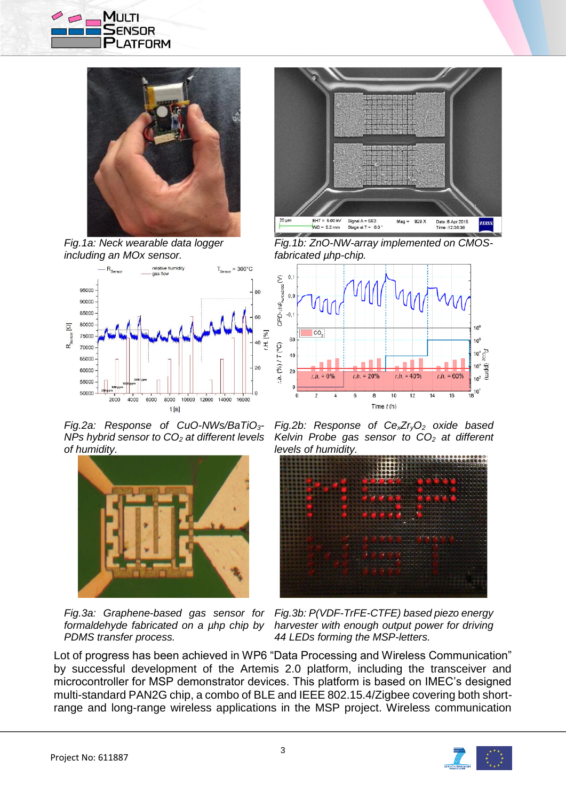



*Fig.1a: Neck wearable data logger including an MOx sensor.*



*Fig.2a: Response of CuO-NWs/BaTiO3- NPs hybrid sensor to CO<sup>2</sup> at different levels of humidity.*



*Fig.3a: Graphene-based gas sensor for formaldehyde fabricated on a µhp chip by PDMS transfer process.*



*Fig.1b: ZnO-NW-array implemented on CMOSfabricated µhp-chip.*



*Fig.2b: Response of CexZryO<sup>2</sup> oxide based Kelvin Probe gas sensor to CO<sup>2</sup> at different levels of humidity.*



*Fig.3b: P(VDF-TrFE-CTFE) based piezo energy harvester with enough output power for driving 44 LEDs forming the MSP-letters.*

Lot of progress has been achieved in WP6 "Data Processing and Wireless Communication" by successful development of the Artemis 2.0 platform, including the transceiver and microcontroller for MSP demonstrator devices. This platform is based on IMEC's designed multi-standard PAN2G chip, a combo of BLE and IEEE 802.15.4/Zigbee covering both shortrange and long-range wireless applications in the MSP project. Wireless communication